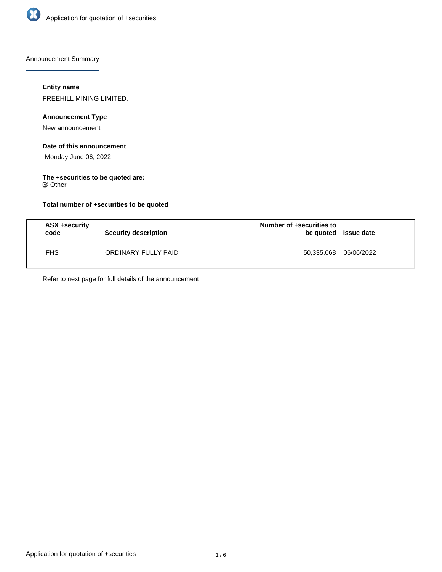

Announcement Summary

## **Entity name**

FREEHILL MINING LIMITED.

# **Announcement Type**

New announcement

#### **Date of this announcement**

Monday June 06, 2022

# **The +securities to be quoted are:**

Other

## **Total number of +securities to be quoted**

| ASX +security<br>code | Security description | Number of +securities to<br>be quoted Issue date |            |
|-----------------------|----------------------|--------------------------------------------------|------------|
| <b>FHS</b>            | ORDINARY FULLY PAID  | 50,335,068                                       | 06/06/2022 |

Refer to next page for full details of the announcement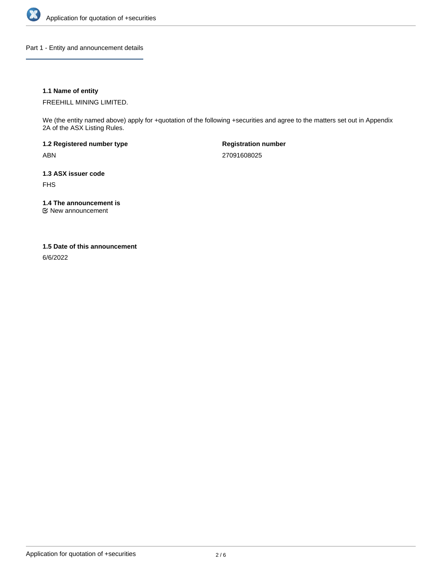

Part 1 - Entity and announcement details

## **1.1 Name of entity**

FREEHILL MINING LIMITED.

We (the entity named above) apply for +quotation of the following +securities and agree to the matters set out in Appendix 2A of the ASX Listing Rules.

**1.2 Registered number type** ABN

**Registration number** 27091608025

**1.3 ASX issuer code** FHS

**1.4 The announcement is**

New announcement

### **1.5 Date of this announcement**

6/6/2022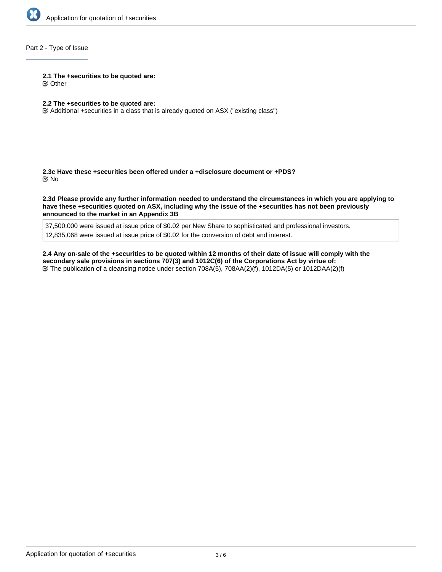

## Part 2 - Type of Issue

#### **2.1 The +securities to be quoted are:**

Other

## **2.2 The +securities to be quoted are:**

Additional +securities in a class that is already quoted on ASX ("existing class")

**2.3c Have these +securities been offered under a +disclosure document or +PDS?** No

**2.3d Please provide any further information needed to understand the circumstances in which you are applying to have these +securities quoted on ASX, including why the issue of the +securities has not been previously announced to the market in an Appendix 3B**

37,500,000 were issued at issue price of \$0.02 per New Share to sophisticated and professional investors. 12,835,068 were issued at issue price of \$0.02 for the conversion of debt and interest.

**2.4 Any on-sale of the +securities to be quoted within 12 months of their date of issue will comply with the secondary sale provisions in sections 707(3) and 1012C(6) of the Corporations Act by virtue of:** The publication of a cleansing notice under section 708A(5), 708AA(2)(f), 1012DA(5) or 1012DAA(2)(f)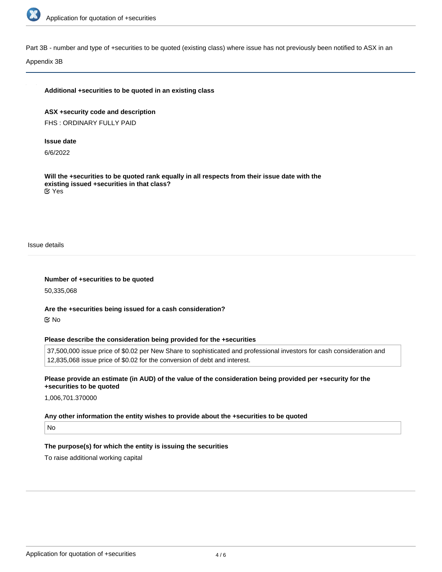

Part 3B - number and type of +securities to be quoted (existing class) where issue has not previously been notified to ASX in an

Appendix 3B

#### **Additional +securities to be quoted in an existing class**

**ASX +security code and description** FHS : ORDINARY FULLY PAID

#### **Issue date**

6/6/2022

**Will the +securities to be quoted rank equally in all respects from their issue date with the existing issued +securities in that class?** Yes

Issue details

**Number of +securities to be quoted**

50,335,068

**Are the +securities being issued for a cash consideration?** No

#### **Please describe the consideration being provided for the +securities**

37,500,000 issue price of \$0.02 per New Share to sophisticated and professional investors for cash consideration and 12,835,068 issue price of \$0.02 for the conversion of debt and interest.

**Please provide an estimate (in AUD) of the value of the consideration being provided per +security for the +securities to be quoted**

1,006,701.370000

#### **Any other information the entity wishes to provide about the +securities to be quoted**

No

# **The purpose(s) for which the entity is issuing the securities**

To raise additional working capital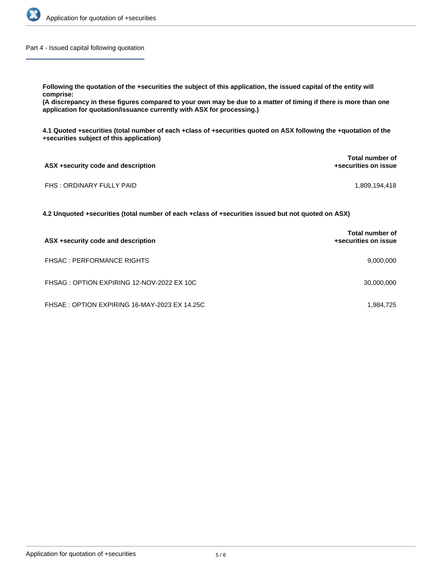

Part 4 - Issued capital following quotation

**Following the quotation of the +securities the subject of this application, the issued capital of the entity will comprise:**

**(A discrepancy in these figures compared to your own may be due to a matter of timing if there is more than one application for quotation/issuance currently with ASX for processing.)**

**4.1 Quoted +securities (total number of each +class of +securities quoted on ASX following the +quotation of the +securities subject of this application)**

| ASX +security code and description | Total number of<br>+securities on issue |
|------------------------------------|-----------------------------------------|
| FHS: ORDINARY FULLY PAID           | 1,809,194,418                           |

**4.2 Unquoted +securities (total number of each +class of +securities issued but not quoted on ASX)**

| ASX +security code and description           | <b>Total number of</b><br>+securities on issue |
|----------------------------------------------|------------------------------------------------|
| <b>FHSAC: PERFORMANCE RIGHTS</b>             | 9,000,000                                      |
| FHSAG: OPTION EXPIRING 12-NOV-2022 EX 10C    | 30,000,000                                     |
| FHSAE: OPTION EXPIRING 16-MAY-2023 EX 14.25C | 1,984,725                                      |